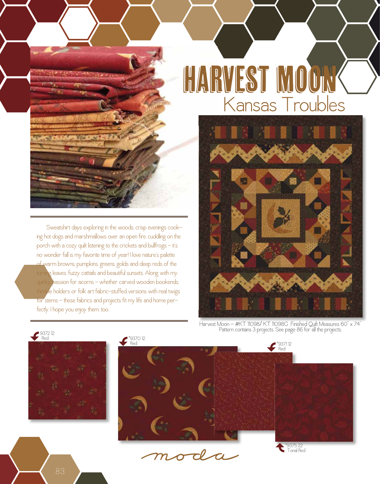

 Sweatshirt days exploring in the woods, crisp evenings cooking hot dogs and marshmallows over an open fire, cuddling on the porch with a cozy quilt listening to the crickets and bullfrogs - it's no wonder fall is my favorite time of year! I love nature's palette of warm browns, pumpkins, greens, golds and deep reds of the **g** leaves, fuzzy cattails and beautiful sunsets. Along with my quirky passion for acorns - whether carved wooden bookends, thimble holders or folk art fabric-stuffed versions with real twigs for stems - these fabrics and projects fit my life and home perfectly. I hope you enjoy them, too.



Harvest Moon - #KT 11098/KT 11098G Finished Quilt Measures 60" x 74" Pattern contains 3 projects. See page 86 for all the projects.









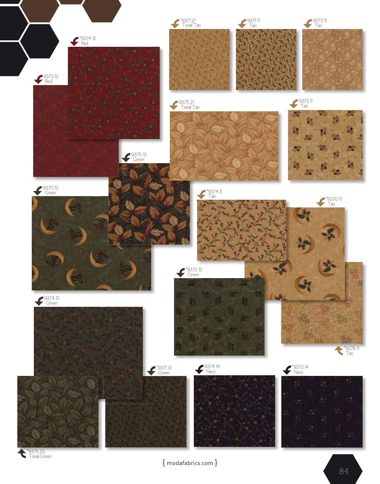

 ${~}$  modafabrics.com  $}$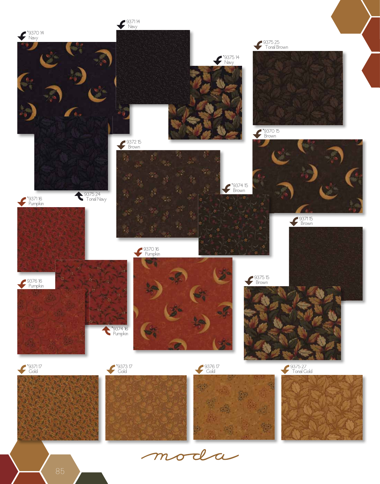